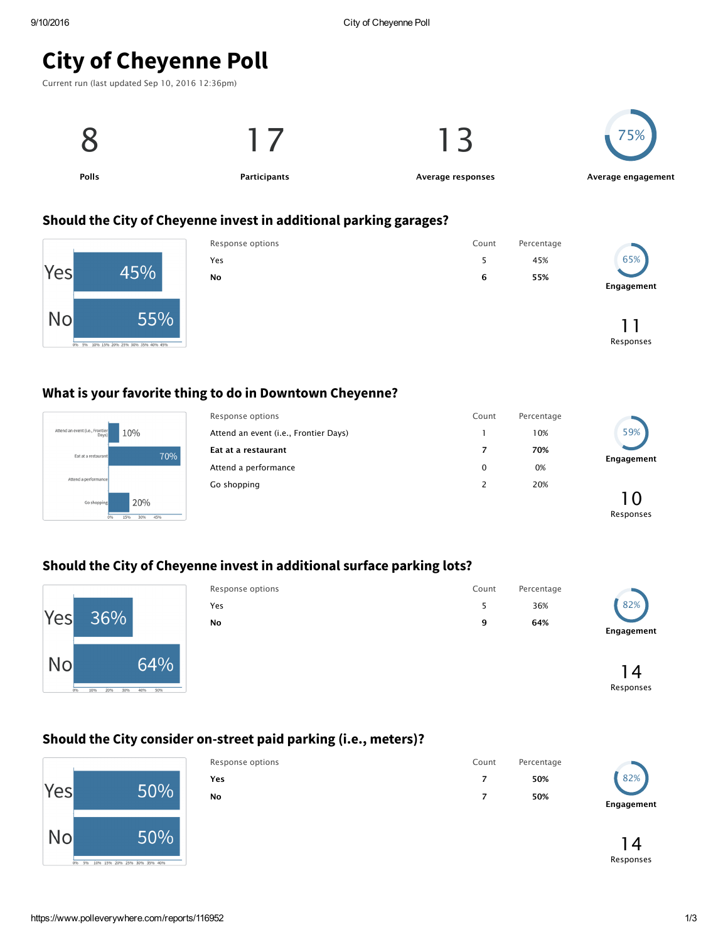# City of Cheyenne Poll





#### Should the City of Cheyenne invest in additional parking garages?



| Response options | Count | Percentage |                  |
|------------------|-------|------------|------------------|
| Yes              | 5     | 45%        | 65%              |
| <b>No</b>        | 6     | 55%        | Engagement       |
|                  |       |            | ו ו<br>Responses |

#### What is your favorite thing to do in Downtown Cheyenne?



| Response options                      | Count | Percentage |            |  |
|---------------------------------------|-------|------------|------------|--|
| Attend an event (i.e., Frontier Days) |       | 10%        | 59%        |  |
| Eat at a restaurant                   | 7     | 70%        |            |  |
| Attend a performance                  | 0     | 0%         | Engagement |  |
| Go shopping                           | 2     | 20%        |            |  |
|                                       |       |            | 1 ()       |  |
|                                       |       |            | Responses  |  |

### Should the City of Cheyenne invest in additional surface parking lots?



| Response options | Count | Percentage |            |
|------------------|-------|------------|------------|
| Yes              |       | 36%        | 82%        |
| No               | a     | 64%        | Engagement |
|                  |       |            |            |



Responses

#### Should the City consider on-street paid parking (i.e., meters)?

|     |                                            | Response options | Count | Percentage |            |
|-----|--------------------------------------------|------------------|-------|------------|------------|
|     |                                            | Yes              |       | 50%        | 82%        |
| Yes | 50%                                        | No               |       | 50%        |            |
|     |                                            |                  |       |            | Engagement |
| No  | 50%                                        |                  |       |            |            |
|     |                                            |                  |       |            |            |
|     | 096 596 1096 1596 2096 2596 3096 3596 4096 |                  |       |            | Responses  |